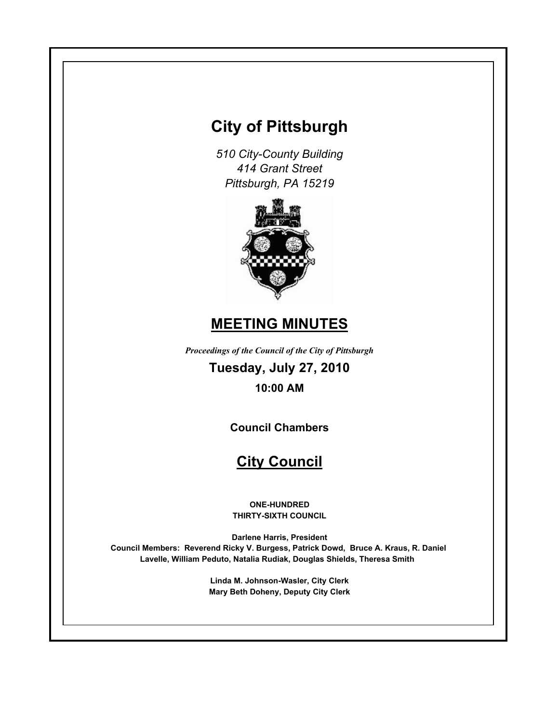# **City of Pittsburgh**

*510 City-County Building 414 Grant Street Pittsburgh, PA 15219*



# **MEETING MINUTES**

*Proceedings of the Council of the City of Pittsburgh*

**Tuesday, July 27, 2010**

**10:00 AM**

**Council Chambers**

# **City Council**

**ONE-HUNDRED THIRTY-SIXTH COUNCIL**

**Darlene Harris, President Council Members: Reverend Ricky V. Burgess, Patrick Dowd, Bruce A. Kraus, R. Daniel Lavelle, William Peduto, Natalia Rudiak, Douglas Shields, Theresa Smith** 

> **Linda M. Johnson-Wasler, City Clerk Mary Beth Doheny, Deputy City Clerk**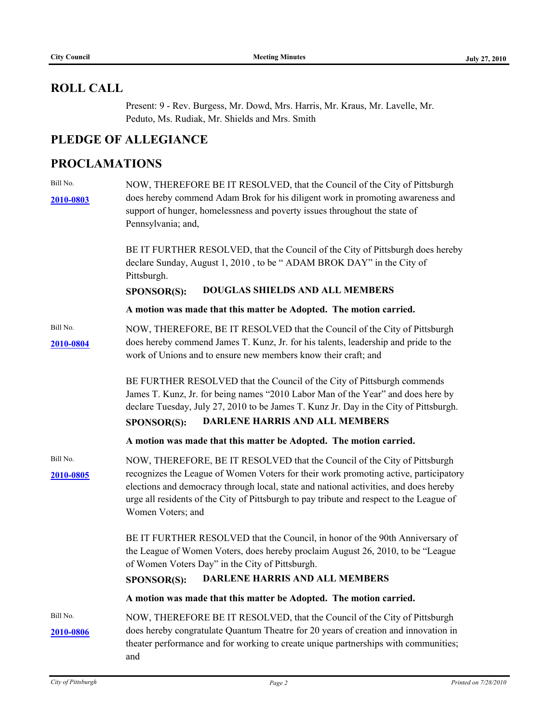# **ROLL CALL**

Present: 9 - Rev. Burgess, Mr. Dowd, Mrs. Harris, Mr. Kraus, Mr. Lavelle, Mr. Peduto, Ms. Rudiak, Mr. Shields and Mrs. Smith

# **PLEDGE OF ALLEGIANCE**

# **PROCLAMATIONS**

| Bill No.<br>2010-0803 | NOW, THEREFORE BE IT RESOLVED, that the Council of the City of Pittsburgh<br>does hereby commend Adam Brok for his diligent work in promoting awareness and<br>support of hunger, homelessness and poverty issues throughout the state of<br>Pennsylvania; and,<br>BE IT FURTHER RESOLVED, that the Council of the City of Pittsburgh does hereby                           |  |
|-----------------------|-----------------------------------------------------------------------------------------------------------------------------------------------------------------------------------------------------------------------------------------------------------------------------------------------------------------------------------------------------------------------------|--|
|                       | declare Sunday, August 1, 2010, to be "ADAM BROK DAY" in the City of<br>Pittsburgh.                                                                                                                                                                                                                                                                                         |  |
|                       | <b>DOUGLAS SHIELDS AND ALL MEMBERS</b><br>SPONSOR(S):                                                                                                                                                                                                                                                                                                                       |  |
|                       | A motion was made that this matter be Adopted. The motion carried.                                                                                                                                                                                                                                                                                                          |  |
| Bill No.<br>2010-0804 | NOW, THEREFORE, BE IT RESOLVED that the Council of the City of Pittsburgh<br>does hereby commend James T. Kunz, Jr. for his talents, leadership and pride to the<br>work of Unions and to ensure new members know their craft; and                                                                                                                                          |  |
|                       | BE FURTHER RESOLVED that the Council of the City of Pittsburgh commends<br>James T. Kunz, Jr. for being names "2010 Labor Man of the Year" and does here by<br>declare Tuesday, July 27, 2010 to be James T. Kunz Jr. Day in the City of Pittsburgh.<br><b>DARLENE HARRIS AND ALL MEMBERS</b><br>SPONSOR(S):                                                                |  |
|                       | A motion was made that this matter be Adopted. The motion carried.                                                                                                                                                                                                                                                                                                          |  |
| Bill No.<br>2010-0805 | NOW, THEREFORE, BE IT RESOLVED that the Council of the City of Pittsburgh<br>recognizes the League of Women Voters for their work promoting active, participatory<br>elections and democracy through local, state and national activities, and does hereby<br>urge all residents of the City of Pittsburgh to pay tribute and respect to the League of<br>Women Voters; and |  |
|                       | BE IT FURTHER RESOLVED that the Council, in honor of the 90th Anniversary of<br>the League of Women Voters, does hereby proclaim August 26, 2010, to be "League<br>of Women Voters Day" in the City of Pittsburgh.<br>DARLENE HARRIS AND ALL MEMBERS<br><b>SPONSOR(S):</b>                                                                                                  |  |
|                       | A motion was made that this matter be Adopted. The motion carried.                                                                                                                                                                                                                                                                                                          |  |
| Bill No.<br>2010-0806 | NOW, THEREFORE BE IT RESOLVED, that the Council of the City of Pittsburgh<br>does hereby congratulate Quantum Theatre for 20 years of creation and innovation in<br>theater performance and for working to create unique partnerships with communities;<br>and                                                                                                              |  |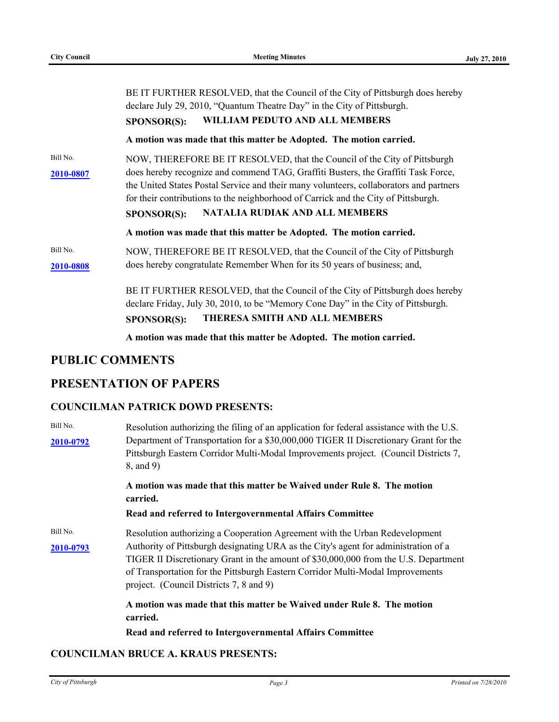|                       | BE IT FURTHER RESOLVED, that the Council of the City of Pittsburgh does hereby<br>declare July 29, 2010, "Quantum Theatre Day" in the City of Pittsburgh.<br>WILLIAM PEDUTO AND ALL MEMBERS<br><b>SPONSOR(S):</b>                                                                                                                                                                                      |
|-----------------------|--------------------------------------------------------------------------------------------------------------------------------------------------------------------------------------------------------------------------------------------------------------------------------------------------------------------------------------------------------------------------------------------------------|
|                       | A motion was made that this matter be Adopted. The motion carried.                                                                                                                                                                                                                                                                                                                                     |
| Bill No.<br>2010-0807 | NOW, THEREFORE BE IT RESOLVED, that the Council of the City of Pittsburgh<br>does hereby recognize and commend TAG, Graffiti Busters, the Graffiti Task Force,<br>the United States Postal Service and their many volunteers, collaborators and partners<br>for their contributions to the neighborhood of Carrick and the City of Pittsburgh.<br>NATALIA RUDIAK AND ALL MEMBERS<br><b>SPONSOR(S):</b> |
|                       | A motion was made that this matter be Adopted. The motion carried.                                                                                                                                                                                                                                                                                                                                     |
| Bill No.<br>2010-0808 | NOW, THEREFORE BE IT RESOLVED, that the Council of the City of Pittsburgh<br>does hereby congratulate Remember When for its 50 years of business; and,                                                                                                                                                                                                                                                 |
|                       | BE IT FURTHER RESOLVED, that the Council of the City of Pittsburgh does hereby<br>declare Friday, July 30, 2010, to be "Memory Cone Day" in the City of Pittsburgh.<br>THERESA SMITH AND ALL MEMBERS<br><b>SPONSOR(S):</b>                                                                                                                                                                             |
|                       | A motion was made that this matter be Adopted. The motion carried.                                                                                                                                                                                                                                                                                                                                     |

## **PUBLIC COMMENTS**

# **PRESENTATION OF PAPERS**

### **COUNCILMAN PATRICK DOWD PRESENTS:**

| Bill No.<br>2010-0792 | Resolution authorizing the filing of an application for federal assistance with the U.S.<br>Department of Transportation for a \$30,000,000 TIGER II Discretionary Grant for the<br>Pittsburgh Eastern Corridor Multi-Modal Improvements project. (Council Districts 7,<br>8, and 9)                                                                                                   |  |
|-----------------------|----------------------------------------------------------------------------------------------------------------------------------------------------------------------------------------------------------------------------------------------------------------------------------------------------------------------------------------------------------------------------------------|--|
|                       | A motion was made that this matter be Waived under Rule 8. The motion<br>carried.<br>Read and referred to Intergovernmental Affairs Committee                                                                                                                                                                                                                                          |  |
| Bill No.<br>2010-0793 | Resolution authorizing a Cooperation Agreement with the Urban Redevelopment<br>Authority of Pittsburgh designating URA as the City's agent for administration of a<br>TIGER II Discretionary Grant in the amount of \$30,000,000 from the U.S. Department<br>of Transportation for the Pittsburgh Eastern Corridor Multi-Modal Improvements<br>project. (Council Districts 7, 8 and 9) |  |
|                       | A motion was made that this matter be Waived under Rule 8. The motion<br>carried.<br>Read and referred to Intergovernmental Affairs Committee                                                                                                                                                                                                                                          |  |

#### **COUNCILMAN BRUCE A. KRAUS PRESENTS:**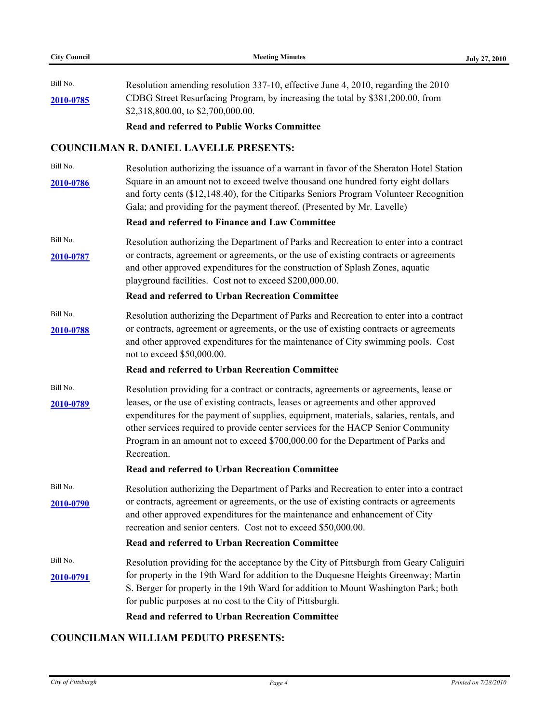| Bill No.<br>2010-0785 | Resolution amending resolution 337-10, effective June 4, 2010, regarding the 2010<br>CDBG Street Resurfacing Program, by increasing the total by \$381,200.00, from<br>\$2,318,800.00, to \$2,700,000.00.<br><b>Read and referred to Public Works Committee</b>                                                                                                                                                                                           |
|-----------------------|-----------------------------------------------------------------------------------------------------------------------------------------------------------------------------------------------------------------------------------------------------------------------------------------------------------------------------------------------------------------------------------------------------------------------------------------------------------|
|                       | <b>COUNCILMAN R. DANIEL LAVELLE PRESENTS:</b>                                                                                                                                                                                                                                                                                                                                                                                                             |
| Bill No.<br>2010-0786 | Resolution authorizing the issuance of a warrant in favor of the Sheraton Hotel Station<br>Square in an amount not to exceed twelve thousand one hundred forty eight dollars<br>and forty cents (\$12,148.40), for the Citiparks Seniors Program Volunteer Recognition<br>Gala; and providing for the payment thereof. (Presented by Mr. Lavelle)<br>Read and referred to Finance and Law Committee                                                       |
| Bill No.<br>2010-0787 | Resolution authorizing the Department of Parks and Recreation to enter into a contract<br>or contracts, agreement or agreements, or the use of existing contracts or agreements<br>and other approved expenditures for the construction of Splash Zones, aquatic<br>playground facilities. Cost not to exceed \$200,000.00.<br>Read and referred to Urban Recreation Committee                                                                            |
| Bill No.<br>2010-0788 | Resolution authorizing the Department of Parks and Recreation to enter into a contract<br>or contracts, agreement or agreements, or the use of existing contracts or agreements<br>and other approved expenditures for the maintenance of City swimming pools. Cost<br>not to exceed \$50,000.00.                                                                                                                                                         |
|                       | <b>Read and referred to Urban Recreation Committee</b>                                                                                                                                                                                                                                                                                                                                                                                                    |
| Bill No.<br>2010-0789 | Resolution providing for a contract or contracts, agreements or agreements, lease or<br>leases, or the use of existing contracts, leases or agreements and other approved<br>expenditures for the payment of supplies, equipment, materials, salaries, rentals, and<br>other services required to provide center services for the HACP Senior Community<br>Program in an amount not to exceed \$700,000.00 for the Department of Parks and<br>Recreation. |
|                       | Read and referred to Urban Recreation Committee                                                                                                                                                                                                                                                                                                                                                                                                           |
| Bill No.<br>2010-0790 | Resolution authorizing the Department of Parks and Recreation to enter into a contract<br>or contracts, agreement or agreements, or the use of existing contracts or agreements<br>and other approved expenditures for the maintenance and enhancement of City<br>recreation and senior centers. Cost not to exceed \$50,000.00.<br>Read and referred to Urban Recreation Committee                                                                       |
| Bill No.<br>2010-0791 | Resolution providing for the acceptance by the City of Pittsburgh from Geary Caliguiri<br>for property in the 19th Ward for addition to the Duquesne Heights Greenway; Martin<br>S. Berger for property in the 19th Ward for addition to Mount Washington Park; both<br>for public purposes at no cost to the City of Pittsburgh.<br>Read and referred to Urban Recreation Committee                                                                      |

## **COUNCILMAN WILLIAM PEDUTO PRESENTS:**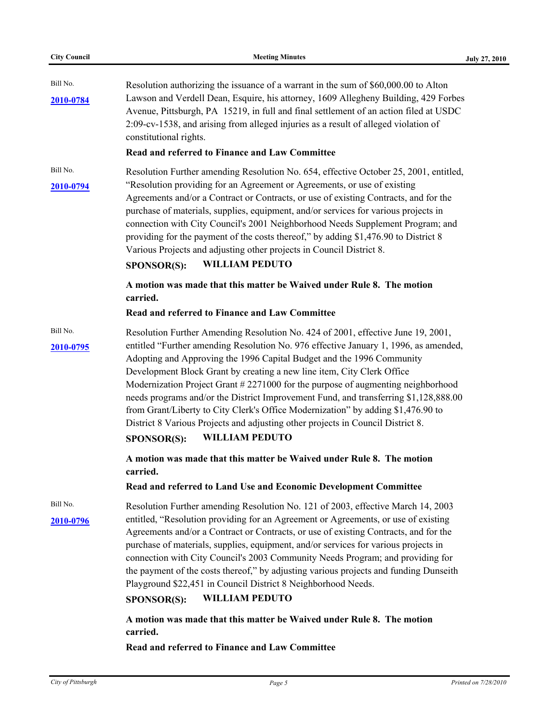| Bill No.<br>2010-0784 | Resolution authorizing the issuance of a warrant in the sum of \$60,000.00 to Alton<br>Lawson and Verdell Dean, Esquire, his attorney, 1609 Allegheny Building, 429 Forbes<br>Avenue, Pittsburgh, PA 15219, in full and final settlement of an action filed at USDC<br>2:09-cv-1538, and arising from alleged injuries as a result of alleged violation of<br>constitutional rights.<br>Read and referred to Finance and Law Committee                                                                                                                                                                                                                                                                                 |
|-----------------------|------------------------------------------------------------------------------------------------------------------------------------------------------------------------------------------------------------------------------------------------------------------------------------------------------------------------------------------------------------------------------------------------------------------------------------------------------------------------------------------------------------------------------------------------------------------------------------------------------------------------------------------------------------------------------------------------------------------------|
| Bill No.<br>2010-0794 | Resolution Further amending Resolution No. 654, effective October 25, 2001, entitled,<br>"Resolution providing for an Agreement or Agreements, or use of existing<br>Agreements and/or a Contract or Contracts, or use of existing Contracts, and for the<br>purchase of materials, supplies, equipment, and/or services for various projects in<br>connection with City Council's 2001 Neighborhood Needs Supplement Program; and<br>providing for the payment of the costs thereof," by adding \$1,476.90 to District 8<br>Various Projects and adjusting other projects in Council District 8.<br><b>WILLIAM PEDUTO</b><br><b>SPONSOR(S):</b>                                                                       |
|                       | A motion was made that this matter be Waived under Rule 8. The motion<br>carried.<br>Read and referred to Finance and Law Committee                                                                                                                                                                                                                                                                                                                                                                                                                                                                                                                                                                                    |
| Bill No.<br>2010-0795 | Resolution Further Amending Resolution No. 424 of 2001, effective June 19, 2001,<br>entitled "Further amending Resolution No. 976 effective January 1, 1996, as amended,<br>Adopting and Approving the 1996 Capital Budget and the 1996 Community<br>Development Block Grant by creating a new line item, City Clerk Office<br>Modernization Project Grant # 2271000 for the purpose of augmenting neighborhood<br>needs programs and/or the District Improvement Fund, and transferring \$1,128,888.00<br>from Grant/Liberty to City Clerk's Office Modernization" by adding \$1,476.90 to<br>District 8 Various Projects and adjusting other projects in Council District 8.<br><b>WILLIAM PEDUTO</b><br>SPONSOR(S): |
|                       | A motion was made that this matter be Waived under Rule 8. The motion<br>carried.<br>Read and referred to Land Use and Economic Development Committee                                                                                                                                                                                                                                                                                                                                                                                                                                                                                                                                                                  |
| Bill No.<br>2010-0796 | Resolution Further amending Resolution No. 121 of 2003, effective March 14, 2003<br>entitled, "Resolution providing for an Agreement or Agreements, or use of existing<br>Agreements and/or a Contract or Contracts, or use of existing Contracts, and for the<br>purchase of materials, supplies, equipment, and/or services for various projects in<br>connection with City Council's 2003 Community Needs Program; and providing for<br>the payment of the costs thereof," by adjusting various projects and funding Dunseith<br>Playground \$22,451 in Council District 8 Neighborhood Needs.<br><b>WILLIAM PEDUTO</b><br>SPONSOR(S):                                                                              |
|                       | A motion was made that this matter be Waived under Rule 8. The motion<br>carried.                                                                                                                                                                                                                                                                                                                                                                                                                                                                                                                                                                                                                                      |

**Read and referred to Finance and Law Committee**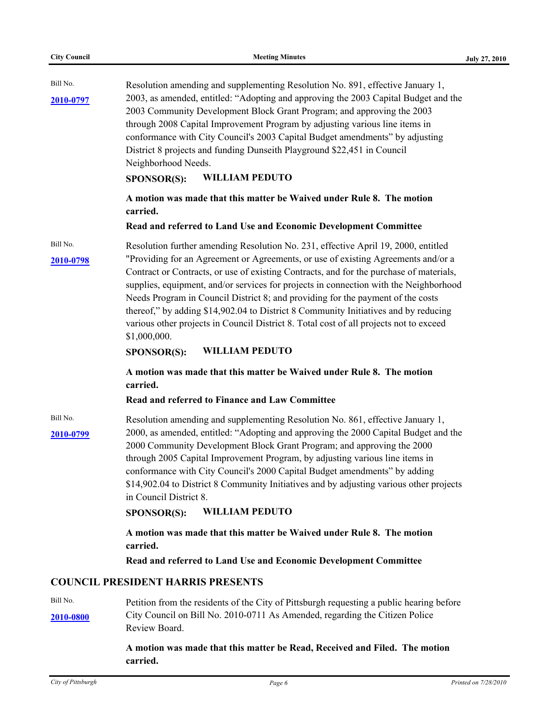| Bill No.<br>2010-0797 | Resolution amending and supplementing Resolution No. 891, effective January 1,<br>2003, as amended, entitled: "Adopting and approving the 2003 Capital Budget and the<br>2003 Community Development Block Grant Program; and approving the 2003<br>through 2008 Capital Improvement Program by adjusting various line items in<br>conformance with City Council's 2003 Capital Budget amendments" by adjusting<br>District 8 projects and funding Dunseith Playground \$22,451 in Council<br>Neighborhood Needs.<br><b>WILLIAM PEDUTO</b><br><b>SPONSOR(S):</b>                                                                                 |
|-----------------------|-------------------------------------------------------------------------------------------------------------------------------------------------------------------------------------------------------------------------------------------------------------------------------------------------------------------------------------------------------------------------------------------------------------------------------------------------------------------------------------------------------------------------------------------------------------------------------------------------------------------------------------------------|
|                       | A motion was made that this matter be Waived under Rule 8. The motion<br>carried.                                                                                                                                                                                                                                                                                                                                                                                                                                                                                                                                                               |
|                       | Read and referred to Land Use and Economic Development Committee                                                                                                                                                                                                                                                                                                                                                                                                                                                                                                                                                                                |
| Bill No.<br>2010-0798 | Resolution further amending Resolution No. 231, effective April 19, 2000, entitled<br>"Providing for an Agreement or Agreements, or use of existing Agreements and/or a<br>Contract or Contracts, or use of existing Contracts, and for the purchase of materials,<br>supplies, equipment, and/or services for projects in connection with the Neighborhood<br>Needs Program in Council District 8; and providing for the payment of the costs<br>thereof," by adding \$14,902.04 to District 8 Community Initiatives and by reducing<br>various other projects in Council District 8. Total cost of all projects not to exceed<br>\$1,000,000. |
|                       | <b>WILLIAM PEDUTO</b><br><b>SPONSOR(S):</b>                                                                                                                                                                                                                                                                                                                                                                                                                                                                                                                                                                                                     |
|                       | A motion was made that this matter be Waived under Rule 8. The motion<br>carried.<br>Read and referred to Finance and Law Committee                                                                                                                                                                                                                                                                                                                                                                                                                                                                                                             |
| Bill No.<br>2010-0799 | Resolution amending and supplementing Resolution No. 861, effective January 1,<br>2000, as amended, entitled: "Adopting and approving the 2000 Capital Budget and the<br>2000 Community Development Block Grant Program; and approving the 2000<br>through 2005 Capital Improvement Program, by adjusting various line items in<br>conformance with City Council's 2000 Capital Budget amendments" by adding<br>\$14,902.04 to District 8 Community Initiatives and by adjusting various other projects<br>in Council District 8.<br><b>WILLIAM PEDUTO</b><br>SPONSOR(S):                                                                       |
|                       | A motion was made that this matter be Waived under Rule 8. The motion<br>carried.                                                                                                                                                                                                                                                                                                                                                                                                                                                                                                                                                               |
|                       | Read and referred to Land Use and Economic Development Committee                                                                                                                                                                                                                                                                                                                                                                                                                                                                                                                                                                                |
|                       | <b>COUNCIL PRESIDENT HARRIS PRESENTS</b>                                                                                                                                                                                                                                                                                                                                                                                                                                                                                                                                                                                                        |
|                       |                                                                                                                                                                                                                                                                                                                                                                                                                                                                                                                                                                                                                                                 |

**A motion was made that this matter be Read, Received and Filed. The motion carried.**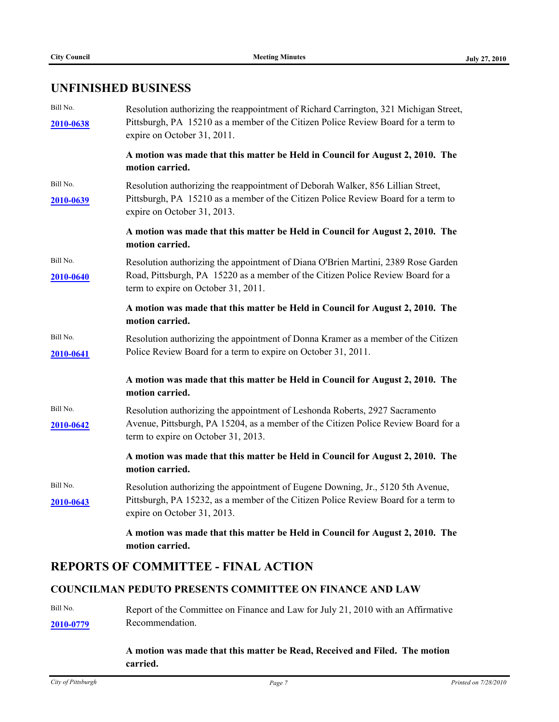# **UNFINISHED BUSINESS**

| Bill No.<br>2010-0638 | Resolution authorizing the reappointment of Richard Carrington, 321 Michigan Street,<br>Pittsburgh, PA 15210 as a member of the Citizen Police Review Board for a term to<br>expire on October 31, 2011.    |
|-----------------------|-------------------------------------------------------------------------------------------------------------------------------------------------------------------------------------------------------------|
|                       | A motion was made that this matter be Held in Council for August 2, 2010. The<br>motion carried.                                                                                                            |
| Bill No.<br>2010-0639 | Resolution authorizing the reappointment of Deborah Walker, 856 Lillian Street,<br>Pittsburgh, PA 15210 as a member of the Citizen Police Review Board for a term to<br>expire on October 31, 2013.         |
|                       | A motion was made that this matter be Held in Council for August 2, 2010. The<br>motion carried.                                                                                                            |
| Bill No.<br>2010-0640 | Resolution authorizing the appointment of Diana O'Brien Martini, 2389 Rose Garden<br>Road, Pittsburgh, PA 15220 as a member of the Citizen Police Review Board for a<br>term to expire on October 31, 2011. |
|                       | A motion was made that this matter be Held in Council for August 2, 2010. The<br>motion carried.                                                                                                            |
| Bill No.<br>2010-0641 | Resolution authorizing the appointment of Donna Kramer as a member of the Citizen<br>Police Review Board for a term to expire on October 31, 2011.                                                          |
|                       | A motion was made that this matter be Held in Council for August 2, 2010. The<br>motion carried.                                                                                                            |
| Bill No.<br>2010-0642 | Resolution authorizing the appointment of Leshonda Roberts, 2927 Sacramento<br>Avenue, Pittsburgh, PA 15204, as a member of the Citizen Police Review Board for a<br>term to expire on October 31, 2013.    |
|                       | A motion was made that this matter be Held in Council for August 2, 2010. The<br>motion carried.                                                                                                            |
| Bill No.<br>2010-0643 | Resolution authorizing the appointment of Eugene Downing, Jr., 5120 5th Avenue,<br>Pittsburgh, PA 15232, as a member of the Citizen Police Review Board for a term to<br>expire on October 31, 2013.        |
|                       | A motion was made that this matter be Held in Council for August 2, 2010. The<br>motion carried.                                                                                                            |
|                       | <b>REPORTS OF COMMITTEE - FINAL ACTION</b>                                                                                                                                                                  |
|                       | <b>COUNCILMAN PEDUTO PRESENTS COMMITTEE ON FINANCE AND LAW</b>                                                                                                                                              |

Bill No. **[2010-0779](http://pittsburgh.legistar.com/gateway.aspx?M=L&ID=13348)** Report of the Committee on Finance and Law for July 21, 2010 with an Affirmative Recommendation.

#### **A motion was made that this matter be Read, Received and Filed. The motion carried.**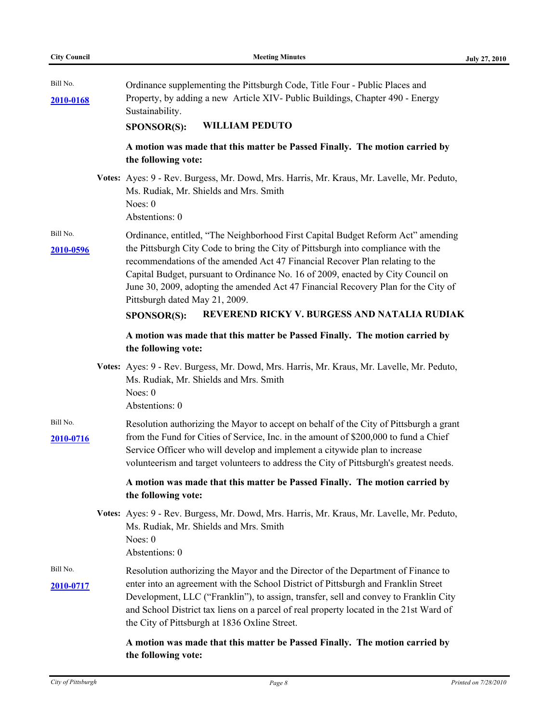| Bill No.<br>2010-0168 | Ordinance supplementing the Pittsburgh Code, Title Four - Public Places and<br>Property, by adding a new Article XIV- Public Buildings, Chapter 490 - Energy<br>Sustainability.                                                                                                                                                                                                                                                                                                                                                         |
|-----------------------|-----------------------------------------------------------------------------------------------------------------------------------------------------------------------------------------------------------------------------------------------------------------------------------------------------------------------------------------------------------------------------------------------------------------------------------------------------------------------------------------------------------------------------------------|
|                       | <b>WILLIAM PEDUTO</b><br><b>SPONSOR(S):</b>                                                                                                                                                                                                                                                                                                                                                                                                                                                                                             |
|                       | A motion was made that this matter be Passed Finally. The motion carried by<br>the following vote:                                                                                                                                                                                                                                                                                                                                                                                                                                      |
|                       | Votes: Ayes: 9 - Rev. Burgess, Mr. Dowd, Mrs. Harris, Mr. Kraus, Mr. Lavelle, Mr. Peduto,<br>Ms. Rudiak, Mr. Shields and Mrs. Smith<br>Noes: 0<br>Abstentions: 0                                                                                                                                                                                                                                                                                                                                                                        |
| Bill No.<br>2010-0596 | Ordinance, entitled, "The Neighborhood First Capital Budget Reform Act" amending<br>the Pittsburgh City Code to bring the City of Pittsburgh into compliance with the<br>recommendations of the amended Act 47 Financial Recover Plan relating to the<br>Capital Budget, pursuant to Ordinance No. 16 of 2009, enacted by City Council on<br>June 30, 2009, adopting the amended Act 47 Financial Recovery Plan for the City of<br>Pittsburgh dated May 21, 2009.<br>REVEREND RICKY V. BURGESS AND NATALIA RUDIAK<br><b>SPONSOR(S):</b> |
|                       | A motion was made that this matter be Passed Finally. The motion carried by<br>the following vote:                                                                                                                                                                                                                                                                                                                                                                                                                                      |
|                       | Votes: Ayes: 9 - Rev. Burgess, Mr. Dowd, Mrs. Harris, Mr. Kraus, Mr. Lavelle, Mr. Peduto,<br>Ms. Rudiak, Mr. Shields and Mrs. Smith<br>Noes: 0<br>Abstentions: 0                                                                                                                                                                                                                                                                                                                                                                        |
| Bill No.<br>2010-0716 | Resolution authorizing the Mayor to accept on behalf of the City of Pittsburgh a grant<br>from the Fund for Cities of Service, Inc. in the amount of \$200,000 to fund a Chief<br>Service Officer who will develop and implement a citywide plan to increase<br>volunteerism and target volunteers to address the City of Pittsburgh's greatest needs.                                                                                                                                                                                  |
|                       | A motion was made that this matter be Passed Finally. The motion carried by<br>the following vote:                                                                                                                                                                                                                                                                                                                                                                                                                                      |
|                       | Votes: Ayes: 9 - Rev. Burgess, Mr. Dowd, Mrs. Harris, Mr. Kraus, Mr. Lavelle, Mr. Peduto,<br>Ms. Rudiak, Mr. Shields and Mrs. Smith<br>Noes: $0$<br>Abstentions: 0                                                                                                                                                                                                                                                                                                                                                                      |
| Bill No.<br>2010-0717 | Resolution authorizing the Mayor and the Director of the Department of Finance to<br>enter into an agreement with the School District of Pittsburgh and Franklin Street<br>Development, LLC ("Franklin"), to assign, transfer, sell and convey to Franklin City<br>and School District tax liens on a parcel of real property located in the 21st Ward of<br>the City of Pittsburgh at 1836 Oxline Street.                                                                                                                              |
|                       | A motion was made that this matter be Passed Finally. The motion carried by<br>the following vote:                                                                                                                                                                                                                                                                                                                                                                                                                                      |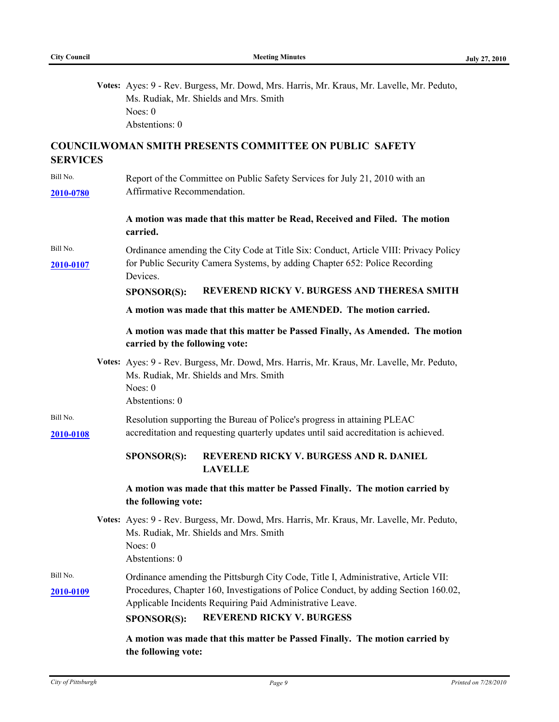|                       | Votes: Ayes: 9 - Rev. Burgess, Mr. Dowd, Mrs. Harris, Mr. Kraus, Mr. Lavelle, Mr. Peduto,<br>Ms. Rudiak, Mr. Shields and Mrs. Smith<br>Noes: 0<br>Abstentions: 0                                                                                                                           |
|-----------------------|--------------------------------------------------------------------------------------------------------------------------------------------------------------------------------------------------------------------------------------------------------------------------------------------|
| <b>SERVICES</b>       | <b>COUNCILWOMAN SMITH PRESENTS COMMITTEE ON PUBLIC SAFETY</b>                                                                                                                                                                                                                              |
| Bill No.<br>2010-0780 | Report of the Committee on Public Safety Services for July 21, 2010 with an<br>Affirmative Recommendation.                                                                                                                                                                                 |
|                       | A motion was made that this matter be Read, Received and Filed. The motion<br>carried.                                                                                                                                                                                                     |
| Bill No.<br>2010-0107 | Ordinance amending the City Code at Title Six: Conduct, Article VIII: Privacy Policy<br>for Public Security Camera Systems, by adding Chapter 652: Police Recording<br>Devices.                                                                                                            |
|                       | REVEREND RICKY V. BURGESS AND THERESA SMITH<br>SPONSOR(S):<br>A motion was made that this matter be AMENDED. The motion carried.                                                                                                                                                           |
|                       | A motion was made that this matter be Passed Finally, As Amended. The motion<br>carried by the following vote:                                                                                                                                                                             |
|                       | Votes: Ayes: 9 - Rev. Burgess, Mr. Dowd, Mrs. Harris, Mr. Kraus, Mr. Lavelle, Mr. Peduto,<br>Ms. Rudiak, Mr. Shields and Mrs. Smith<br>Noes: $0$<br>Abstentions: 0                                                                                                                         |
| Bill No.<br>2010-0108 | Resolution supporting the Bureau of Police's progress in attaining PLEAC<br>accreditation and requesting quarterly updates until said accreditation is achieved.                                                                                                                           |
|                       | REVEREND RICKY V. BURGESS AND R. DANIEL<br><b>SPONSOR(S):</b><br><b>LAVELLE</b>                                                                                                                                                                                                            |
|                       | A motion was made that this matter be Passed Finally. The motion carried by<br>the following vote:                                                                                                                                                                                         |
|                       | Votes: Ayes: 9 - Rev. Burgess, Mr. Dowd, Mrs. Harris, Mr. Kraus, Mr. Lavelle, Mr. Peduto,<br>Ms. Rudiak, Mr. Shields and Mrs. Smith<br>Noes: 0<br>Abstentions: 0                                                                                                                           |
| Bill No.<br>2010-0109 | Ordinance amending the Pittsburgh City Code, Title I, Administrative, Article VII:<br>Procedures, Chapter 160, Investigations of Police Conduct, by adding Section 160.02,<br>Applicable Incidents Requiring Paid Administrative Leave.<br><b>REVEREND RICKY V. BURGESS</b><br>SPONSOR(S): |
|                       | A motion was made that this matter be Passed Finally. The motion carried by                                                                                                                                                                                                                |

**the following vote:**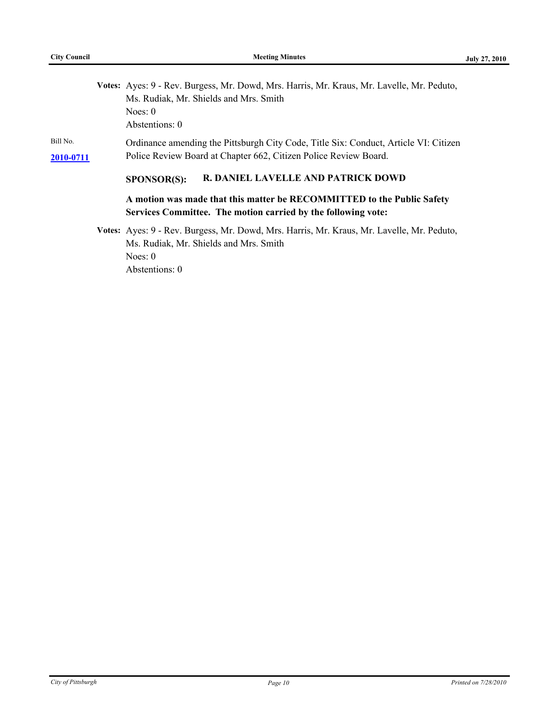|           | Votes: Ayes: 9 - Rev. Burgess, Mr. Dowd, Mrs. Harris, Mr. Kraus, Mr. Lavelle, Mr. Peduto, |
|-----------|-------------------------------------------------------------------------------------------|
|           | Ms. Rudiak, Mr. Shields and Mrs. Smith                                                    |
|           | Noes: $0$                                                                                 |
|           | Abstentions: 0                                                                            |
| Bill No.  | Ordinance amending the Pittsburgh City Code, Title Six: Conduct, Article VI: Citizen      |
| 2010-0711 | Police Review Board at Chapter 662, Citizen Police Review Board.                          |
|           | R. DANIEL LAVELLE AND PATRICK DOWD<br><b>SPONSOR(S):</b>                                  |
|           | A motion was made that this matter be RECOMMITTED to the Public Safety                    |
|           | Services Committee. The motion carried by the following vote:                             |
|           | Votes: Ayes: 9 - Rev. Burgess, Mr. Dowd, Mrs. Harris, Mr. Kraus, Mr. Lavelle, Mr. Peduto, |
|           | Ms. Rudiak, Mr. Shields and Mrs. Smith                                                    |
|           | Noes: $0$                                                                                 |
|           |                                                                                           |

Abstentions: 0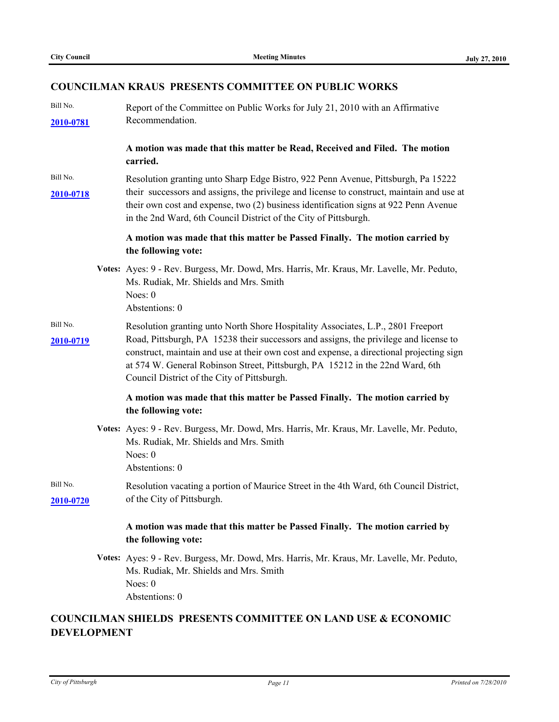#### **COUNCILMAN KRAUS PRESENTS COMMITTEE ON PUBLIC WORKS**

Bill No. **[2010-0781](http://pittsburgh.legistar.com/gateway.aspx?M=L&ID=13350)** Report of the Committee on Public Works for July 21, 2010 with an Affirmative Recommendation.

> **A motion was made that this matter be Read, Received and Filed. The motion carried.**

Bill No. **[2010-0718](http://pittsburgh.legistar.com/gateway.aspx?M=L&ID=13284)** their successors and assigns, the privilege and license to construct, maintain and use at Resolution granting unto Sharp Edge Bistro, 922 Penn Avenue, Pittsburgh, Pa 15222 their own cost and expense, two (2) business identification signs at 922 Penn Avenue in the 2nd Ward, 6th Council District of the City of Pittsburgh.

#### **A motion was made that this matter be Passed Finally. The motion carried by the following vote:**

- **Votes:** Ayes: 9 Rev. Burgess, Mr. Dowd, Mrs. Harris, Mr. Kraus, Mr. Lavelle, Mr. Peduto, Ms. Rudiak, Mr. Shields and Mrs. Smith Noes: 0 Abstentions: 0
- Bill No. **[2010-0719](http://pittsburgh.legistar.com/gateway.aspx?M=L&ID=13285)** Road, Pittsburgh, PA 15238 their successors and assigns, the privilege and license to Resolution granting unto North Shore Hospitality Associates, L.P., 2801 Freeport construct, maintain and use at their own cost and expense, a directional projecting sign at 574 W. General Robinson Street, Pittsburgh, PA 15212 in the 22nd Ward, 6th Council District of the City of Pittsburgh.

#### **A motion was made that this matter be Passed Finally. The motion carried by the following vote:**

- **Votes:** Ayes: 9 Rev. Burgess, Mr. Dowd, Mrs. Harris, Mr. Kraus, Mr. Lavelle, Mr. Peduto, Ms. Rudiak, Mr. Shields and Mrs. Smith Noes: 0 Abstentions: 0
- Bill No. **[2010-0720](http://pittsburgh.legistar.com/gateway.aspx?M=L&ID=13286)** of the City of Pittsburgh. Resolution vacating a portion of Maurice Street in the 4th Ward, 6th Council District,

#### **A motion was made that this matter be Passed Finally. The motion carried by the following vote:**

**Votes:** Ayes: 9 - Rev. Burgess, Mr. Dowd, Mrs. Harris, Mr. Kraus, Mr. Lavelle, Mr. Peduto, Ms. Rudiak, Mr. Shields and Mrs. Smith Noes: 0 Abstentions: 0

### **COUNCILMAN SHIELDS PRESENTS COMMITTEE ON LAND USE & ECONOMIC DEVELOPMENT**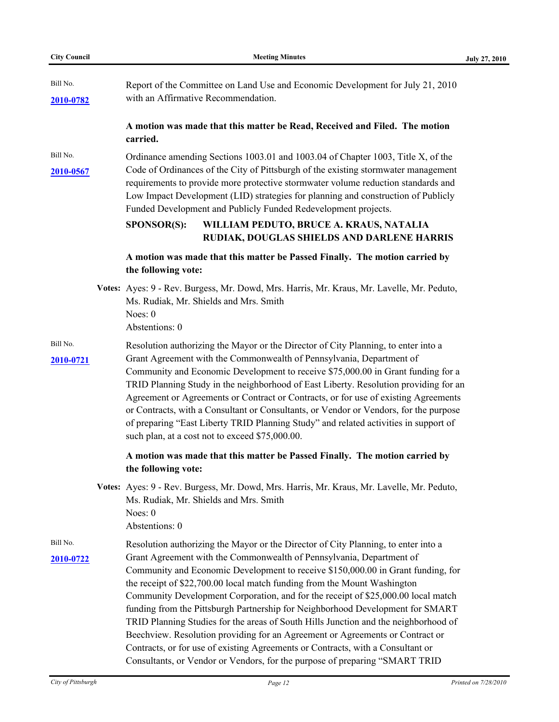| <b>City Council</b>   | <b>Meeting Minutes</b>                                                                                                                                                                                                                                                                                                                                                                                                                                                                                                                                                                                                                                                                                                                                                                                                                      | <b>July 27, 2010</b> |
|-----------------------|---------------------------------------------------------------------------------------------------------------------------------------------------------------------------------------------------------------------------------------------------------------------------------------------------------------------------------------------------------------------------------------------------------------------------------------------------------------------------------------------------------------------------------------------------------------------------------------------------------------------------------------------------------------------------------------------------------------------------------------------------------------------------------------------------------------------------------------------|----------------------|
| Bill No.<br>2010-0782 | Report of the Committee on Land Use and Economic Development for July 21, 2010<br>with an Affirmative Recommendation.                                                                                                                                                                                                                                                                                                                                                                                                                                                                                                                                                                                                                                                                                                                       |                      |
|                       | A motion was made that this matter be Read, Received and Filed. The motion<br>carried.                                                                                                                                                                                                                                                                                                                                                                                                                                                                                                                                                                                                                                                                                                                                                      |                      |
| Bill No.<br>2010-0567 | Ordinance amending Sections 1003.01 and 1003.04 of Chapter 1003, Title X, of the<br>Code of Ordinances of the City of Pittsburgh of the existing stormwater management<br>requirements to provide more protective stormwater volume reduction standards and<br>Low Impact Development (LID) strategies for planning and construction of Publicly<br>Funded Development and Publicly Funded Redevelopment projects.<br><b>SPONSOR(S):</b><br>WILLIAM PEDUTO, BRUCE A. KRAUS, NATALIA<br>RUDIAK, DOUGLAS SHIELDS AND DARLENE HARRIS                                                                                                                                                                                                                                                                                                           |                      |
|                       | A motion was made that this matter be Passed Finally. The motion carried by<br>the following vote:                                                                                                                                                                                                                                                                                                                                                                                                                                                                                                                                                                                                                                                                                                                                          |                      |
|                       | Votes: Ayes: 9 - Rev. Burgess, Mr. Dowd, Mrs. Harris, Mr. Kraus, Mr. Lavelle, Mr. Peduto,<br>Ms. Rudiak, Mr. Shields and Mrs. Smith<br>Noes: 0<br>Abstentions: 0                                                                                                                                                                                                                                                                                                                                                                                                                                                                                                                                                                                                                                                                            |                      |
| Bill No.<br>2010-0721 | Resolution authorizing the Mayor or the Director of City Planning, to enter into a<br>Grant Agreement with the Commonwealth of Pennsylvania, Department of<br>Community and Economic Development to receive \$75,000.00 in Grant funding for a<br>TRID Planning Study in the neighborhood of East Liberty. Resolution providing for an<br>Agreement or Agreements or Contract or Contracts, or for use of existing Agreements<br>or Contracts, with a Consultant or Consultants, or Vendor or Vendors, for the purpose<br>of preparing "East Liberty TRID Planning Study" and related activities in support of<br>such plan, at a cost not to exceed \$75,000.00.                                                                                                                                                                           |                      |
|                       | A motion was made that this matter be Passed Finally. The motion carried by<br>the following vote:                                                                                                                                                                                                                                                                                                                                                                                                                                                                                                                                                                                                                                                                                                                                          |                      |
|                       | Votes: Ayes: 9 - Rev. Burgess, Mr. Dowd, Mrs. Harris, Mr. Kraus, Mr. Lavelle, Mr. Peduto,<br>Ms. Rudiak, Mr. Shields and Mrs. Smith<br>Noes: 0<br>Abstentions: 0                                                                                                                                                                                                                                                                                                                                                                                                                                                                                                                                                                                                                                                                            |                      |
| Bill No.<br>2010-0722 | Resolution authorizing the Mayor or the Director of City Planning, to enter into a<br>Grant Agreement with the Commonwealth of Pennsylvania, Department of<br>Community and Economic Development to receive \$150,000.00 in Grant funding, for<br>the receipt of \$22,700.00 local match funding from the Mount Washington<br>Community Development Corporation, and for the receipt of \$25,000.00 local match<br>funding from the Pittsburgh Partnership for Neighborhood Development for SMART<br>TRID Planning Studies for the areas of South Hills Junction and the neighborhood of<br>Beechview. Resolution providing for an Agreement or Agreements or Contract or<br>Contracts, or for use of existing Agreements or Contracts, with a Consultant or<br>Consultants, or Vendor or Vendors, for the purpose of preparing "SMART TRID |                      |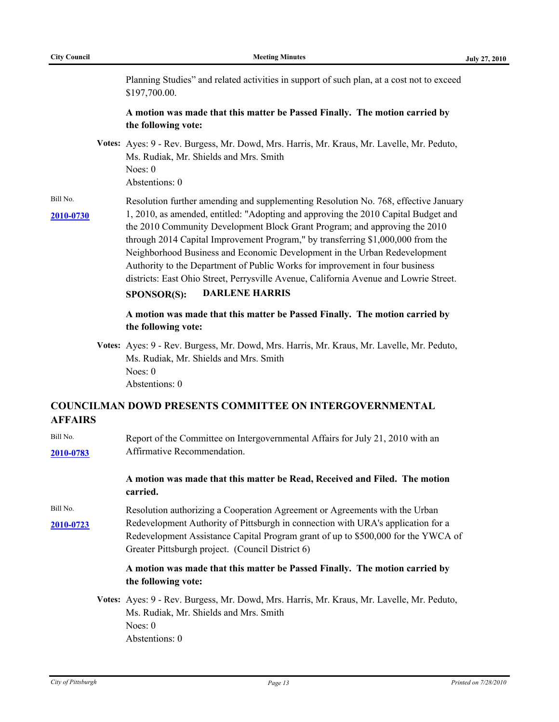Planning Studies" and related activities in support of such plan, at a cost not to exceed \$197,700.00.

#### **A motion was made that this matter be Passed Finally. The motion carried by the following vote:**

- **Votes:** Ayes: 9 Rev. Burgess, Mr. Dowd, Mrs. Harris, Mr. Kraus, Mr. Lavelle, Mr. Peduto, Ms. Rudiak, Mr. Shields and Mrs. Smith Noes: 0 Abstentions: 0
- Bill No. **[2010-0730](http://pittsburgh.legistar.com/gateway.aspx?M=L&ID=13296)** Resolution further amending and supplementing Resolution No. 768, effective January 1, 2010, as amended, entitled: "Adopting and approving the 2010 Capital Budget and the 2010 Community Development Block Grant Program; and approving the 2010 through 2014 Capital Improvement Program," by transferring \$1,000,000 from the Neighborhood Business and Economic Development in the Urban Redevelopment Authority to the Department of Public Works for improvement in four business districts: East Ohio Street, Perrysville Avenue, California Avenue and Lowrie Street.

#### **SPONSOR(S): DARLENE HARRIS**

#### **A motion was made that this matter be Passed Finally. The motion carried by the following vote:**

**Votes:** Ayes: 9 - Rev. Burgess, Mr. Dowd, Mrs. Harris, Mr. Kraus, Mr. Lavelle, Mr. Peduto, Ms. Rudiak, Mr. Shields and Mrs. Smith Noes: 0 Abstentions: 0

### **COUNCILMAN DOWD PRESENTS COMMITTEE ON INTERGOVERNMENTAL AFFAIRS**

| Bill No.<br>2010-0783 | Report of the Committee on Intergovernmental Affairs for July 21, 2010 with an<br>Affirmative Recommendation.                                                                                                                                                                                            |
|-----------------------|----------------------------------------------------------------------------------------------------------------------------------------------------------------------------------------------------------------------------------------------------------------------------------------------------------|
|                       | A motion was made that this matter be Read, Received and Filed. The motion<br>carried.                                                                                                                                                                                                                   |
| Bill No.<br>2010-0723 | Resolution authorizing a Cooperation Agreement or Agreements with the Urban<br>Redevelopment Authority of Pittsburgh in connection with URA's application for a<br>Redevelopment Assistance Capital Program grant of up to \$500,000 for the YWCA of<br>Greater Pittsburgh project. (Council District 6) |
|                       | A motion was made that this matter be Passed Finally. The motion carried by<br>the following vote:                                                                                                                                                                                                       |
|                       | Votes: Ayes: 9 - Rev. Burgess, Mr. Dowd, Mrs. Harris, Mr. Kraus, Mr. Lavelle, Mr. Peduto,<br>Ms. Rudiak, Mr. Shields and Mrs. Smith<br>Noes: $0$                                                                                                                                                         |

Abstentions: 0